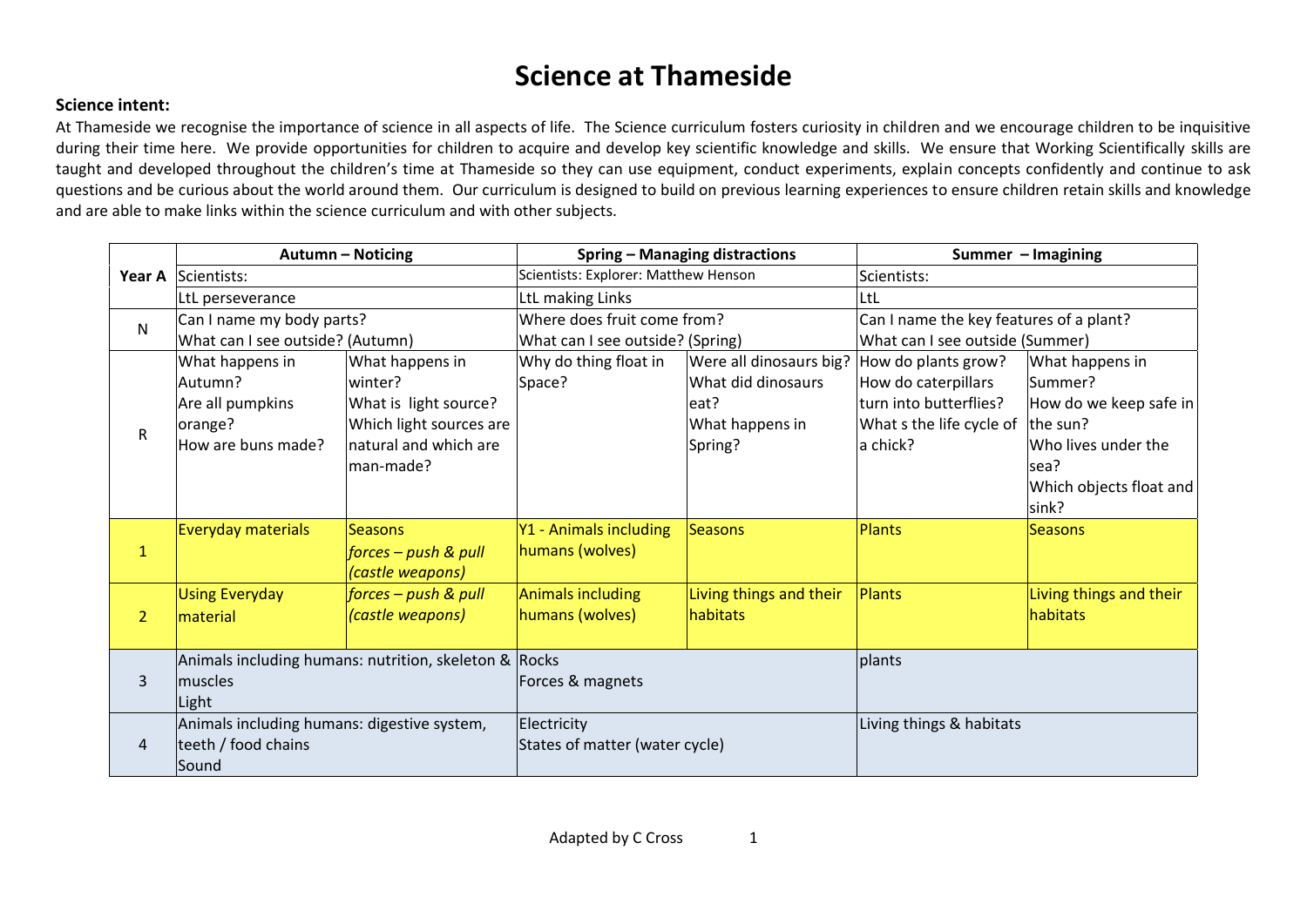## **Science at Thameside**

## **Science intent:**

At Thameside we recognise the importance of science in all aspects of life. The Science curriculum fosters curiosity in children and we encourage children to be inquisitive during their time here. We provide opportunities for children to acquire and develop key scientific knowledge and skills. We ensure that Working Scientifically skills are taught and developed throughout the children's time at Thameside so they can use equipment, conduct experiments, explain concepts confidently and continue to ask questions and be curious about the world around them. Our curriculum is designed to build on previous learning experiences to ensure children retain skills and knowledge and are able to make links within the science curriculum and with other subjects.

|                | <b>Autumn - Noticing</b>                    |                                                       | <b>Spring - Managing distractions</b> |                         | Summer - Imagining                      |                         |  |
|----------------|---------------------------------------------|-------------------------------------------------------|---------------------------------------|-------------------------|-----------------------------------------|-------------------------|--|
| Year A         | Scientists:                                 |                                                       | Scientists: Explorer: Matthew Henson  |                         | Scientists:                             |                         |  |
|                | LtL perseverance                            |                                                       | LtL making Links                      |                         | ltt                                     |                         |  |
| N              | Can I name my body parts?                   |                                                       | Where does fruit come from?           |                         | Can I name the key features of a plant? |                         |  |
|                | What can I see outside? (Autumn)            |                                                       | What can I see outside? (Spring)      |                         | What can I see outside (Summer)         |                         |  |
|                | What happens in                             | What happens in                                       | Why do thing float in                 | Were all dinosaurs big? | How do plants grow?                     | What happens in         |  |
|                | Autumn?                                     | winter?                                               | Space?                                | What did dinosaurs      | How do caterpillars                     | Summer?                 |  |
|                | Are all pumpkins                            | What is light source?                                 |                                       | leat?                   | turn into butterflies?                  | How do we keep safe in  |  |
| $\mathsf{R}$   | orange?                                     | Which light sources are                               |                                       | What happens in         | What s the life cycle of $ $ the sun?   |                         |  |
|                | How are buns made?                          | natural and which are                                 |                                       | Spring?                 | a chick?                                | Who lives under the     |  |
|                |                                             | man-made?                                             |                                       |                         |                                         | sea?                    |  |
|                |                                             |                                                       |                                       |                         |                                         | Which objects float and |  |
|                |                                             |                                                       |                                       |                         |                                         | sink?                   |  |
|                | <b>Everyday materials</b>                   | <b>Seasons</b>                                        | Y1 - Animals including                | Seasons                 | Plants                                  | <b>Seasons</b>          |  |
| $\mathbf{1}$   |                                             | forces – push & pull                                  | humans (wolves)                       |                         |                                         |                         |  |
|                |                                             | (castle weapons)                                      |                                       |                         |                                         |                         |  |
|                | <b>Using Everyday</b>                       | forces - push & pull                                  | Animals including                     | Living things and their | <b>Plants</b>                           | Living things and their |  |
| $\overline{2}$ | material                                    | (castle weapons)                                      | humans (wolves)                       | habitats                |                                         | habitats                |  |
|                |                                             |                                                       |                                       |                         |                                         |                         |  |
|                |                                             | Animals including humans: nutrition, skeleton & Rocks |                                       |                         | plants                                  |                         |  |
| 3              | muscles                                     |                                                       | Forces & magnets                      |                         |                                         |                         |  |
|                | Light                                       |                                                       |                                       |                         |                                         |                         |  |
|                | Animals including humans: digestive system, |                                                       | Electricity                           |                         | Living things & habitats                |                         |  |
| 4              | teeth / food chains                         |                                                       | States of matter (water cycle)        |                         |                                         |                         |  |
|                | Sound                                       |                                                       |                                       |                         |                                         |                         |  |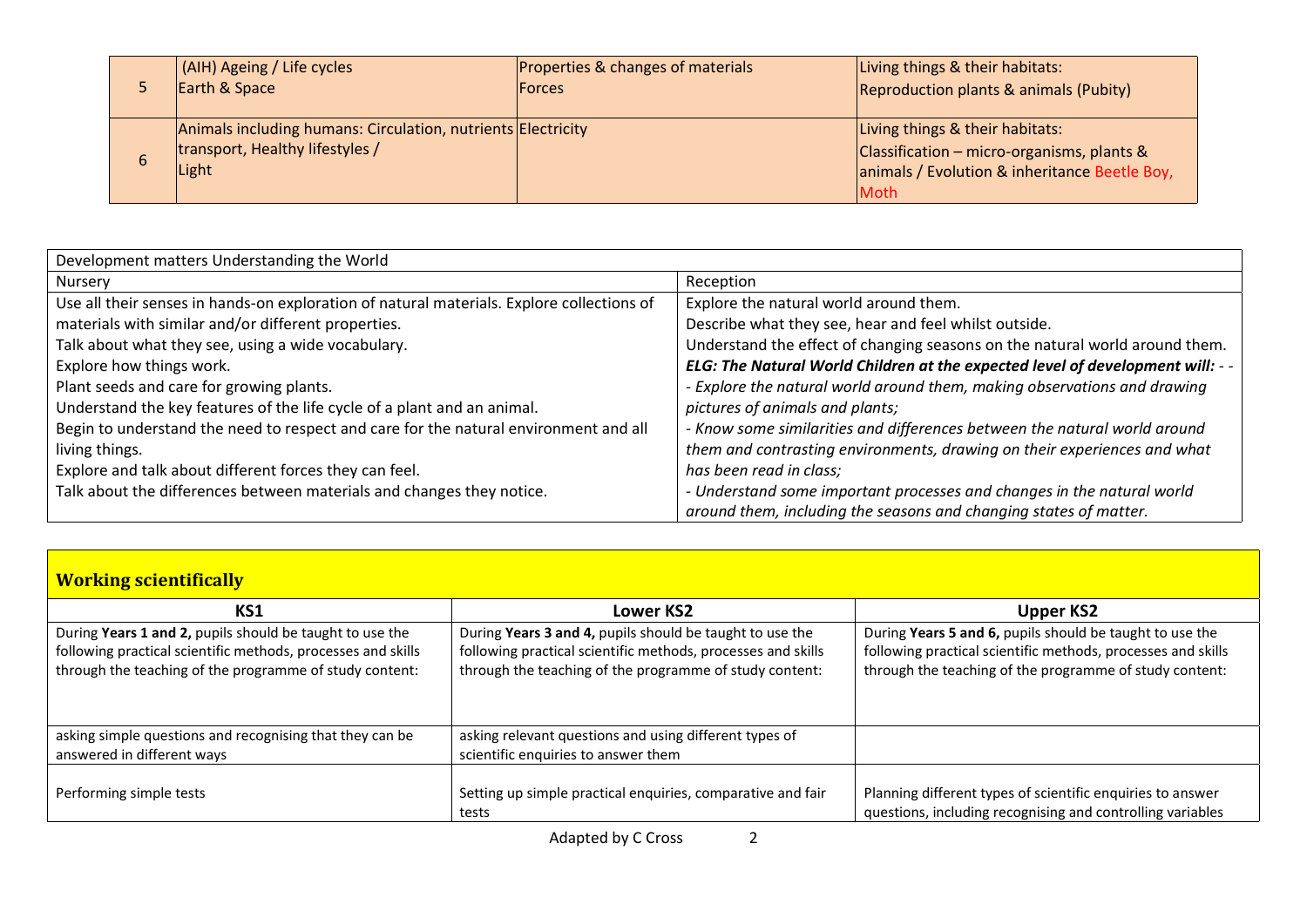|   | (AIH) Ageing / Life cycles                                   | <b>Properties &amp; changes of materials</b> | Living things & their habitats:                    |
|---|--------------------------------------------------------------|----------------------------------------------|----------------------------------------------------|
|   | Earth & Space                                                | <b>Forces</b>                                | Reproduction plants & animals (Pubity)             |
|   |                                                              |                                              |                                                    |
|   | Animals including humans: Circulation, nutrients Electricity |                                              | Living things & their habitats:                    |
|   | transport, Healthy lifestyles /                              |                                              | $\vert$ Classification – micro-organisms, plants & |
| b | Light                                                        |                                              | animals / Evolution & inheritance Beetle Boy,      |
|   |                                                              |                                              | Moth                                               |

| Development matters Understanding the World                                               |                                                                               |  |  |
|-------------------------------------------------------------------------------------------|-------------------------------------------------------------------------------|--|--|
| Nursery                                                                                   | Reception                                                                     |  |  |
| Use all their senses in hands-on exploration of natural materials. Explore collections of | Explore the natural world around them.                                        |  |  |
| materials with similar and/or different properties.                                       | Describe what they see, hear and feel whilst outside.                         |  |  |
| Talk about what they see, using a wide vocabulary.                                        | Understand the effect of changing seasons on the natural world around them.   |  |  |
| Explore how things work.                                                                  | ELG: The Natural World Children at the expected level of development will: -- |  |  |
| Plant seeds and care for growing plants.                                                  | - Explore the natural world around them, making observations and drawing      |  |  |
| Understand the key features of the life cycle of a plant and an animal.                   | pictures of animals and plants;                                               |  |  |
| Begin to understand the need to respect and care for the natural environment and all      | Know some similarities and differences between the natural world around       |  |  |
| living things.                                                                            | them and contrasting environments, drawing on their experiences and what      |  |  |
| Explore and talk about different forces they can feel.                                    | has been read in class;                                                       |  |  |
| Talk about the differences between materials and changes they notice.                     | - Understand some important processes and changes in the natural world        |  |  |
|                                                                                           | around them, including the seasons and changing states of matter.             |  |  |

| <b>Working scientifically</b> |  |  |
|-------------------------------|--|--|
|                               |  |  |

| KS1                                                          | Lower KS2                                                            | Upper KS2                                                                                                                |
|--------------------------------------------------------------|----------------------------------------------------------------------|--------------------------------------------------------------------------------------------------------------------------|
| During Years 1 and 2, pupils should be taught to use the     | During Years 3 and 4, pupils should be taught to use the             | During Years 5 and 6, pupils should be taught to use the                                                                 |
| following practical scientific methods, processes and skills | following practical scientific methods, processes and skills         | following practical scientific methods, processes and skills                                                             |
| through the teaching of the programme of study content:      | through the teaching of the programme of study content:              | through the teaching of the programme of study content:                                                                  |
| asking simple questions and recognising that they can be     | asking relevant questions and using different types of               |                                                                                                                          |
| answered in different ways                                   | scientific enquiries to answer them                                  |                                                                                                                          |
| Performing simple tests                                      | Setting up simple practical enquiries, comparative and fair<br>tests | Planning different types of scientific enquiries to answer<br>questions, including recognising and controlling variables |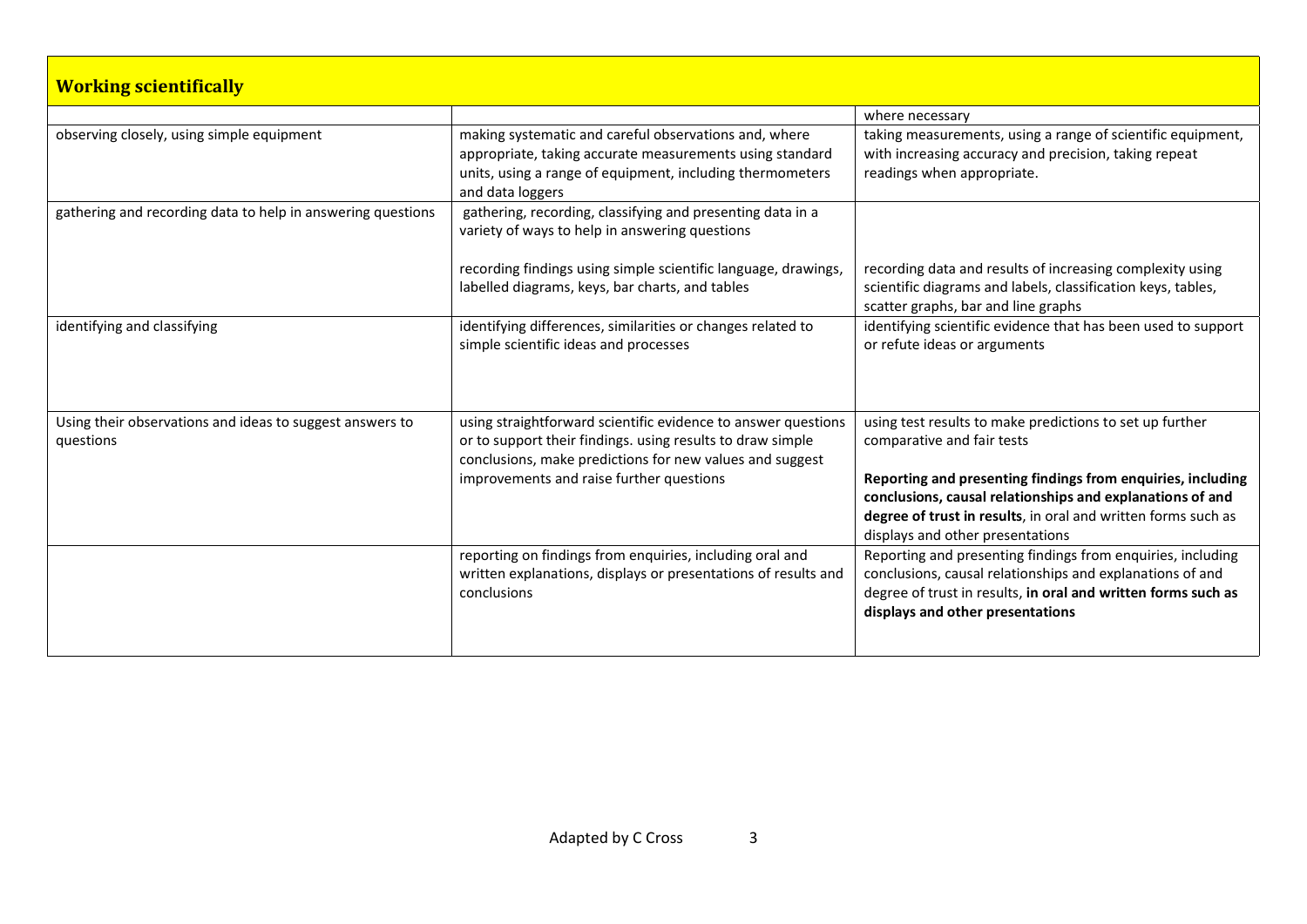| <b>Working scientifically</b>                                         |                                                                                                                                                                                                    |                                                                                                                                                                                                                               |
|-----------------------------------------------------------------------|----------------------------------------------------------------------------------------------------------------------------------------------------------------------------------------------------|-------------------------------------------------------------------------------------------------------------------------------------------------------------------------------------------------------------------------------|
|                                                                       |                                                                                                                                                                                                    | where necessary                                                                                                                                                                                                               |
| observing closely, using simple equipment                             | making systematic and careful observations and, where<br>appropriate, taking accurate measurements using standard<br>units, using a range of equipment, including thermometers<br>and data loggers | taking measurements, using a range of scientific equipment,<br>with increasing accuracy and precision, taking repeat<br>readings when appropriate.                                                                            |
| gathering and recording data to help in answering questions           | gathering, recording, classifying and presenting data in a<br>variety of ways to help in answering questions                                                                                       |                                                                                                                                                                                                                               |
|                                                                       | recording findings using simple scientific language, drawings,<br>labelled diagrams, keys, bar charts, and tables                                                                                  | recording data and results of increasing complexity using<br>scientific diagrams and labels, classification keys, tables,<br>scatter graphs, bar and line graphs                                                              |
| identifying and classifying                                           | identifying differences, similarities or changes related to<br>simple scientific ideas and processes                                                                                               | identifying scientific evidence that has been used to support<br>or refute ideas or arguments                                                                                                                                 |
| Using their observations and ideas to suggest answers to<br>questions | using straightforward scientific evidence to answer questions<br>or to support their findings. using results to draw simple<br>conclusions, make predictions for new values and suggest            | using test results to make predictions to set up further<br>comparative and fair tests                                                                                                                                        |
|                                                                       | improvements and raise further questions                                                                                                                                                           | Reporting and presenting findings from enquiries, including<br>conclusions, causal relationships and explanations of and<br>degree of trust in results, in oral and written forms such as<br>displays and other presentations |
|                                                                       | reporting on findings from enquiries, including oral and<br>written explanations, displays or presentations of results and<br>conclusions                                                          | Reporting and presenting findings from enquiries, including<br>conclusions, causal relationships and explanations of and<br>degree of trust in results, in oral and written forms such as<br>displays and other presentations |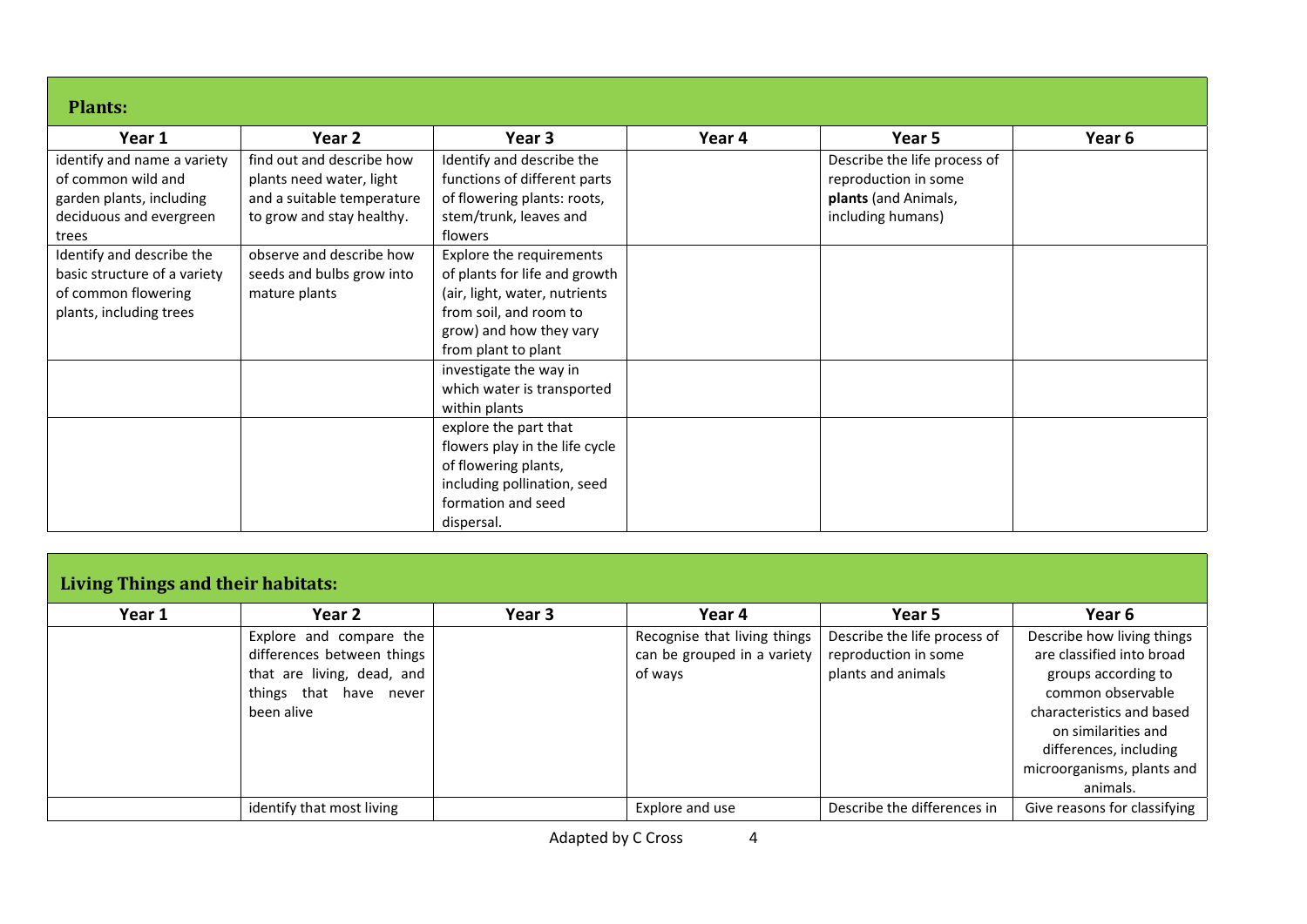| <b>Plants:</b>                                                                                                    |                                                                                                                  |                                                                                                                                                                        |        |                                                                                                   |        |  |
|-------------------------------------------------------------------------------------------------------------------|------------------------------------------------------------------------------------------------------------------|------------------------------------------------------------------------------------------------------------------------------------------------------------------------|--------|---------------------------------------------------------------------------------------------------|--------|--|
| Year 1                                                                                                            | Year 2                                                                                                           | Year 3                                                                                                                                                                 | Year 4 | Year 5                                                                                            | Year 6 |  |
| identify and name a variety<br>of common wild and<br>garden plants, including<br>deciduous and evergreen<br>trees | find out and describe how<br>plants need water, light<br>and a suitable temperature<br>to grow and stay healthy. | Identify and describe the<br>functions of different parts<br>of flowering plants: roots,<br>stem/trunk, leaves and<br>flowers                                          |        | Describe the life process of<br>reproduction in some<br>plants (and Animals,<br>including humans) |        |  |
| Identify and describe the<br>basic structure of a variety<br>of common flowering<br>plants, including trees       | observe and describe how<br>seeds and bulbs grow into<br>mature plants                                           | Explore the requirements<br>of plants for life and growth<br>(air, light, water, nutrients<br>from soil, and room to<br>grow) and how they vary<br>from plant to plant |        |                                                                                                   |        |  |
|                                                                                                                   |                                                                                                                  | investigate the way in<br>which water is transported<br>within plants                                                                                                  |        |                                                                                                   |        |  |
|                                                                                                                   |                                                                                                                  | explore the part that<br>flowers play in the life cycle<br>of flowering plants,<br>including pollination, seed<br>formation and seed<br>dispersal.                     |        |                                                                                                   |        |  |

| <b>Living Things and their habitats:</b> |                            |        |                              |                              |                              |  |
|------------------------------------------|----------------------------|--------|------------------------------|------------------------------|------------------------------|--|
| Year 1                                   | Year 2                     | Year 3 | Year 4                       | Year 5                       | Year 6                       |  |
|                                          | Explore and compare the    |        | Recognise that living things | Describe the life process of | Describe how living things   |  |
|                                          | differences between things |        | can be grouped in a variety  | reproduction in some         | are classified into broad    |  |
|                                          | that are living, dead, and |        | of ways                      | plants and animals           | groups according to          |  |
|                                          | things that have never     |        |                              |                              | common observable            |  |
|                                          | been alive                 |        |                              |                              | characteristics and based    |  |
|                                          |                            |        |                              |                              | on similarities and          |  |
|                                          |                            |        |                              |                              | differences, including       |  |
|                                          |                            |        |                              |                              | microorganisms, plants and   |  |
|                                          |                            |        |                              |                              | animals.                     |  |
|                                          | identify that most living  |        | Explore and use              | Describe the differences in  | Give reasons for classifying |  |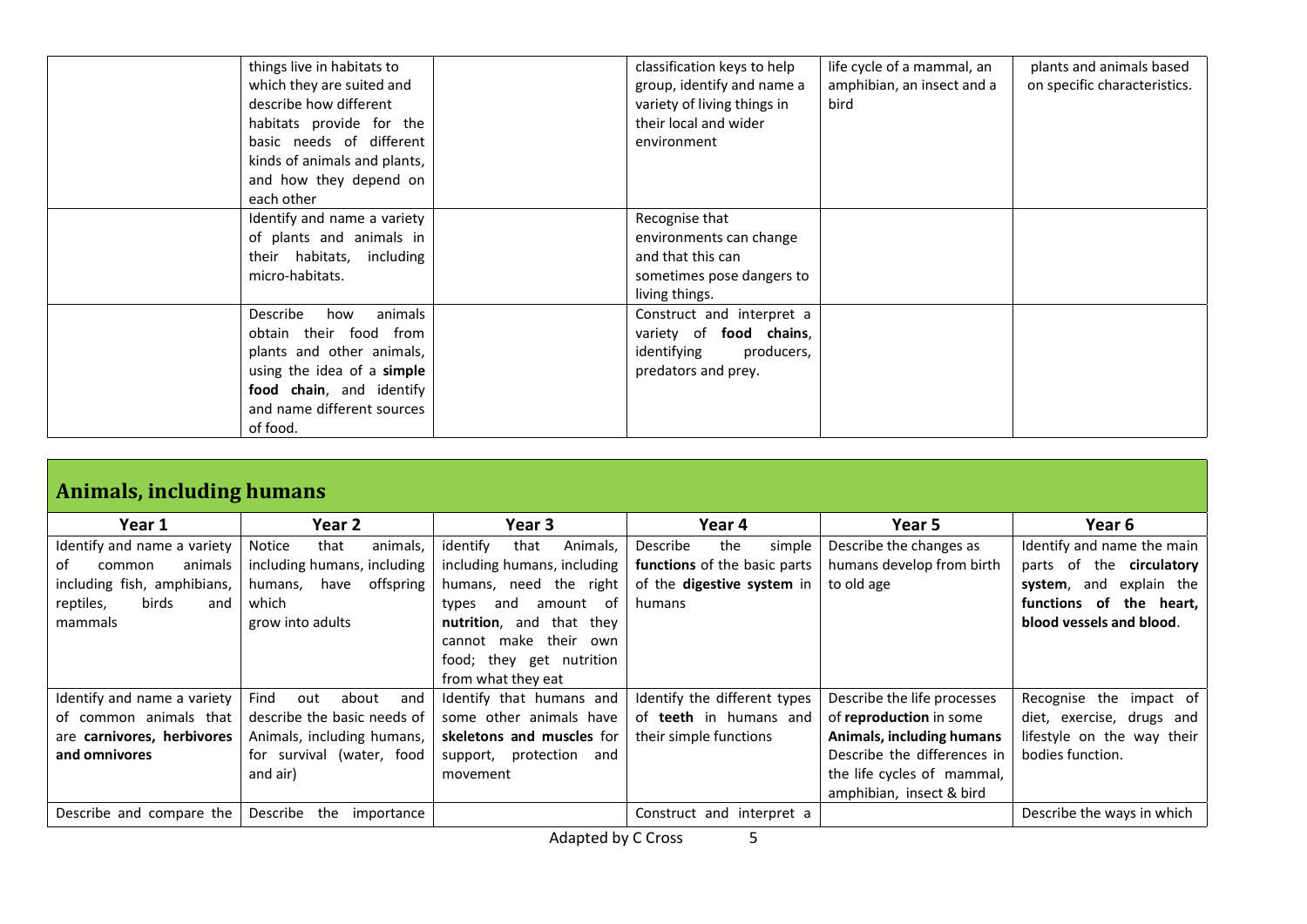| things live in habitats to<br>which they are suited and<br>describe how different<br>habitats provide for the<br>basic needs of different<br>kinds of animals and plants,<br>and how they depend on<br>each other | classification keys to help<br>group, identify and name a<br>variety of living things in<br>their local and wider<br>environment | life cycle of a mammal, an<br>amphibian, an insect and a<br>bird | plants and animals based<br>on specific characteristics. |
|-------------------------------------------------------------------------------------------------------------------------------------------------------------------------------------------------------------------|----------------------------------------------------------------------------------------------------------------------------------|------------------------------------------------------------------|----------------------------------------------------------|
| Identify and name a variety<br>of plants and animals in<br>their habitats, including<br>micro-habitats.                                                                                                           | Recognise that<br>environments can change<br>and that this can<br>sometimes pose dangers to<br>living things.                    |                                                                  |                                                          |
| Describe<br>animals<br>how<br>obtain their food from<br>plants and other animals,<br>using the idea of a simple<br>food chain, and identify<br>and name different sources<br>of food.                             | Construct and interpret a<br>variety of food chains,<br>identifying<br>producers,<br>predators and prey.                         |                                                                  |                                                          |

| Animals, including humans                                                                                                     |                                                                                                                                   |                                                                                                                                                                                                                                            |                                                                                                   |                                                                                                                                                                              |                                                                                                                                                    |  |
|-------------------------------------------------------------------------------------------------------------------------------|-----------------------------------------------------------------------------------------------------------------------------------|--------------------------------------------------------------------------------------------------------------------------------------------------------------------------------------------------------------------------------------------|---------------------------------------------------------------------------------------------------|------------------------------------------------------------------------------------------------------------------------------------------------------------------------------|----------------------------------------------------------------------------------------------------------------------------------------------------|--|
| Year 1                                                                                                                        | Year 2                                                                                                                            | Year 3                                                                                                                                                                                                                                     | Year 4                                                                                            | Year 5                                                                                                                                                                       | Year 6                                                                                                                                             |  |
| Identify and name a variety<br>of<br>animals<br>common<br>including fish, amphibians,<br>birds<br>reptiles,<br>and<br>mammals | <b>Notice</b><br>that<br>animals,<br>including humans, including<br>offspring<br>humans,<br>have<br>which<br>grow into adults     | identify<br>Animals,<br>that<br>including humans, including<br>the right<br>humans, need<br>types<br>and<br>amount<br>- of<br>nutrition, and<br>that they<br>make their own<br>cannot<br>they get nutrition<br>food;<br>from what they eat | the<br>Describe<br>simple<br>functions of the basic parts<br>of the digestive system in<br>humans | Describe the changes as<br>humans develop from birth<br>to old age                                                                                                           | Identify and name the main<br>parts of the <b>circulatory</b><br>system, and explain the<br>functions of<br>the heart,<br>blood vessels and blood. |  |
| Identify and name a variety<br>of common animals that<br>are carnivores, herbivores<br>and omnivores                          | Find<br>about<br>out<br>and<br>describe the basic needs of<br>Animals, including humans,<br>for survival (water, food<br>and air) | Identify that humans and<br>some other animals have<br>skeletons and muscles for<br>support, protection and<br>movement                                                                                                                    | Identify the different types<br>of teeth in humans and<br>their simple functions                  | Describe the life processes<br>of reproduction in some<br>Animals, including humans<br>Describe the differences in<br>the life cycles of mammal,<br>amphibian, insect & bird | Recognise the impact of<br>diet, exercise, drugs and<br>lifestyle on the way their<br>bodies function.                                             |  |
| Describe and compare the                                                                                                      | Describe<br>the<br>importance                                                                                                     |                                                                                                                                                                                                                                            | Construct and interpret a                                                                         |                                                                                                                                                                              | Describe the ways in which                                                                                                                         |  |

Adapted by C Cross 5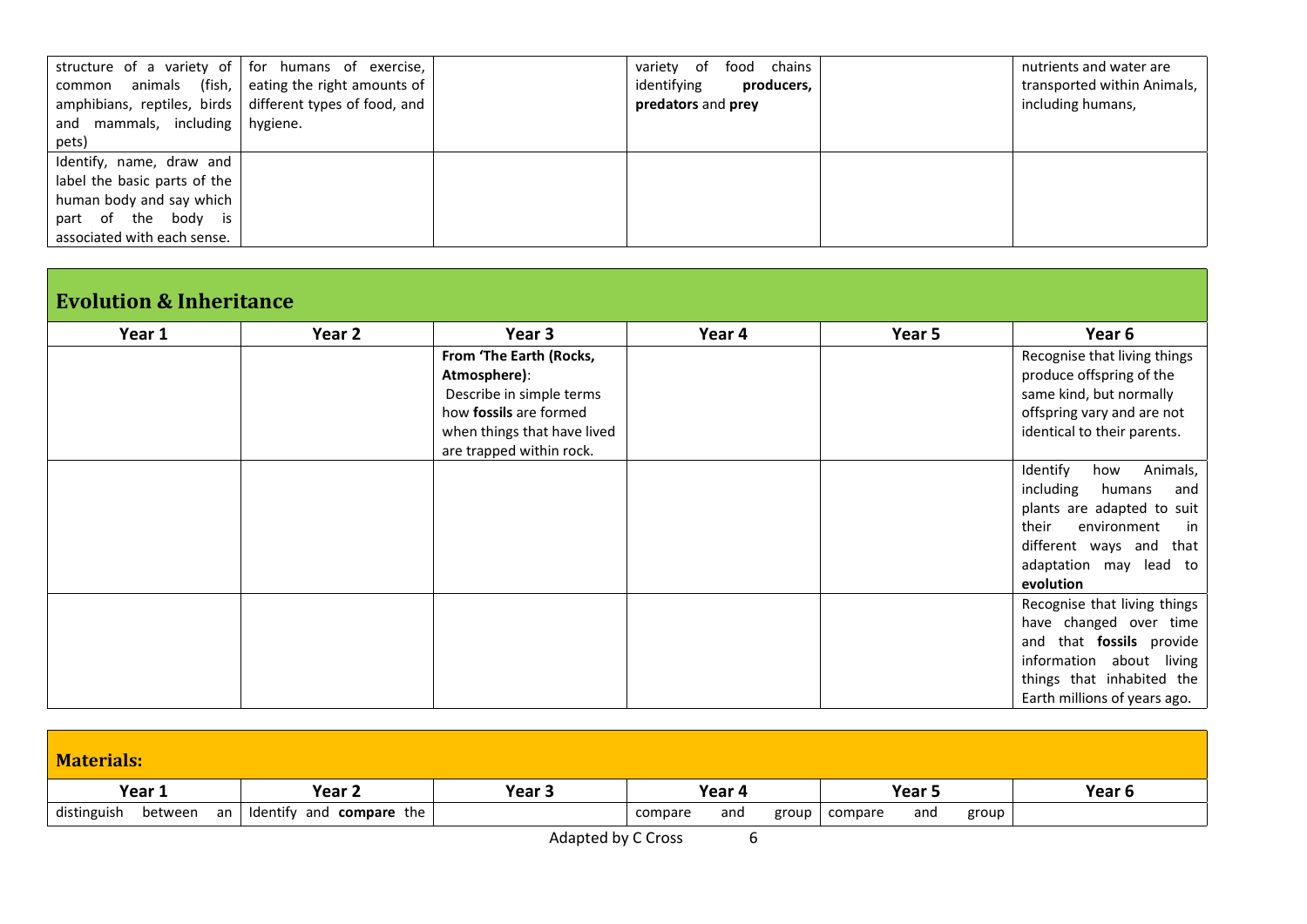| and mammals, including hygiene. | structure of a variety of   for humans of exercise,<br>common animals (fish, eating the right amounts of<br>amphibians, reptiles, birds different types of food, and | food chains<br>variety<br>of<br>identifying<br>producers,<br>predators and prey | nutrients and water are<br>transported within Animals,<br>including humans, |
|---------------------------------|----------------------------------------------------------------------------------------------------------------------------------------------------------------------|---------------------------------------------------------------------------------|-----------------------------------------------------------------------------|
| pets)                           |                                                                                                                                                                      |                                                                                 |                                                                             |
| Identify, name, draw and        |                                                                                                                                                                      |                                                                                 |                                                                             |
| label the basic parts of the    |                                                                                                                                                                      |                                                                                 |                                                                             |
| human body and say which        |                                                                                                                                                                      |                                                                                 |                                                                             |
| part of the body is             |                                                                                                                                                                      |                                                                                 |                                                                             |
| associated with each sense.     |                                                                                                                                                                      |                                                                                 |                                                                             |

## **Evolution & Inheritance**

| Year 1 | Year 2 | Year 3                      | Year 4 | Year 5 | Year 6                       |
|--------|--------|-----------------------------|--------|--------|------------------------------|
|        |        | From 'The Earth (Rocks,     |        |        | Recognise that living things |
|        |        | Atmosphere):                |        |        | produce offspring of the     |
|        |        | Describe in simple terms    |        |        | same kind, but normally      |
|        |        | how fossils are formed      |        |        | offspring vary and are not   |
|        |        | when things that have lived |        |        | identical to their parents.  |
|        |        | are trapped within rock.    |        |        |                              |
|        |        |                             |        |        | Identify<br>Animals,<br>how  |
|        |        |                             |        |        | including<br>humans<br>and   |
|        |        |                             |        |        | plants are adapted to suit   |
|        |        |                             |        |        | their<br>environment<br>in   |
|        |        |                             |        |        | different ways and<br>that   |
|        |        |                             |        |        | adaptation may lead to       |
|        |        |                             |        |        | evolution                    |
|        |        |                             |        |        | Recognise that living things |
|        |        |                             |        |        | have changed over time       |
|        |        |                             |        |        | and that fossils provide     |
|        |        |                             |        |        | information about living     |
|        |        |                             |        |        | things that inhabited the    |
|        |        |                             |        |        | Earth millions of years ago. |

| <b>Materials:</b>            |                          |        |                         |                         |        |
|------------------------------|--------------------------|--------|-------------------------|-------------------------|--------|
| Year 1                       | Year <sub>2</sub>        | Year 3 | Year 4                  | Year 5                  | Year 6 |
| distinguish<br>between<br>an | Identify and compare the |        | and<br>group<br>compare | group<br>compare<br>and |        |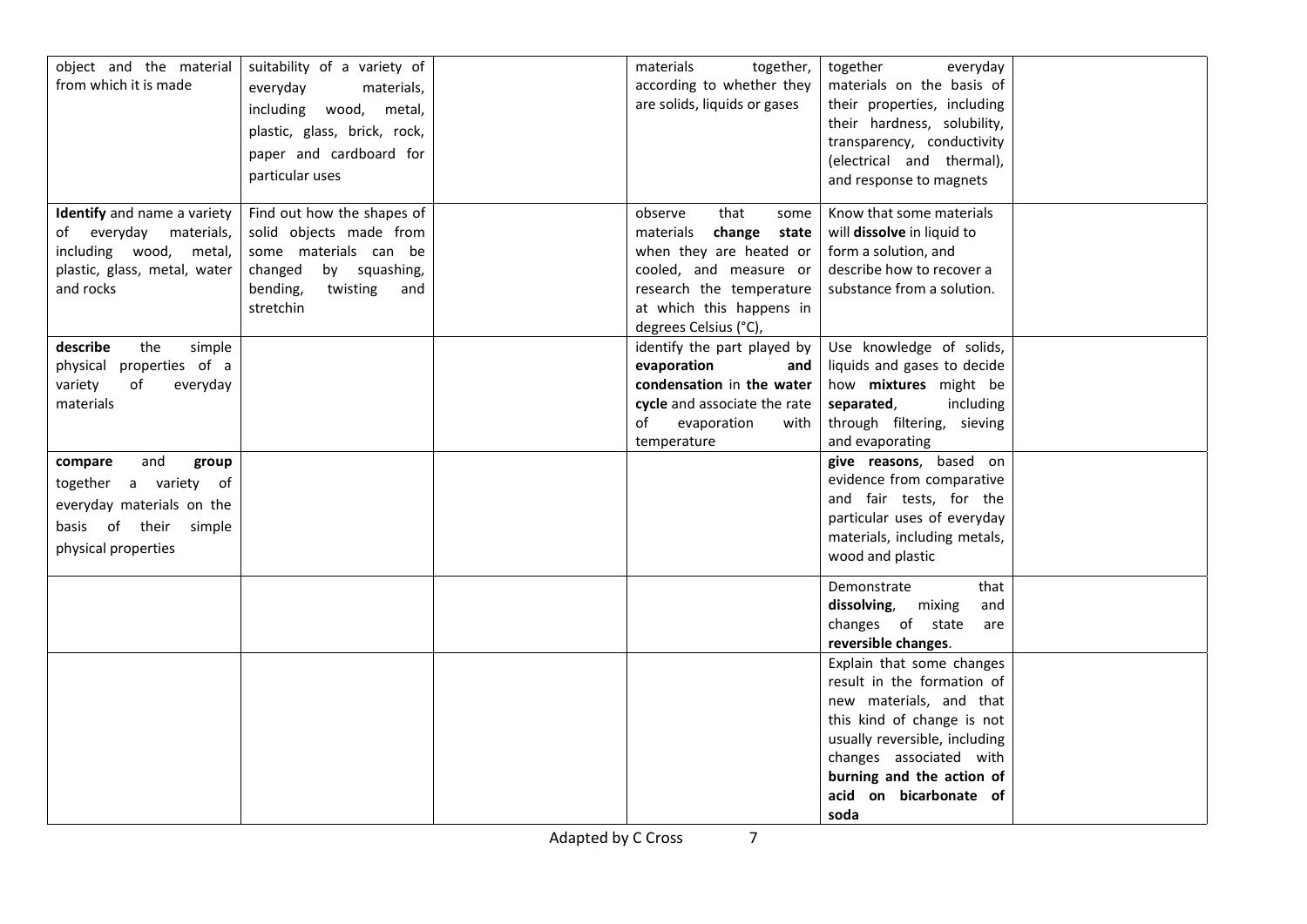| object and the material<br>from which it is made                                                                              | suitability of a variety of<br>everyday<br>materials,<br>including wood, metal,<br>plastic, glass, brick, rock,<br>paper and cardboard for             | materials<br>together,<br>according to whether they<br>are solids, liquids or gases                                                                                                        | together<br>everyday<br>materials on the basis of<br>their properties, including<br>their hardness, solubility,<br>transparency, conductivity<br>(electrical and thermal),                                                                  |  |
|-------------------------------------------------------------------------------------------------------------------------------|--------------------------------------------------------------------------------------------------------------------------------------------------------|--------------------------------------------------------------------------------------------------------------------------------------------------------------------------------------------|---------------------------------------------------------------------------------------------------------------------------------------------------------------------------------------------------------------------------------------------|--|
|                                                                                                                               | particular uses                                                                                                                                        |                                                                                                                                                                                            | and response to magnets                                                                                                                                                                                                                     |  |
| Identify and name a variety<br>of everyday materials,<br>including wood, metal,<br>plastic, glass, metal, water<br>and rocks  | Find out how the shapes of<br>solid objects made from<br>some materials can be<br>changed<br>by squashing,<br>bending,<br>twisting<br>and<br>stretchin | that<br>observe<br>some<br>change state<br>materials<br>when they are heated or<br>cooled, and measure or<br>research the temperature<br>at which this happens in<br>degrees Celsius (°C), | Know that some materials<br>will dissolve in liquid to<br>form a solution, and<br>describe how to recover a<br>substance from a solution.                                                                                                   |  |
| describe<br>simple<br>the<br>physical properties of a<br>variety<br>of<br>everyday<br>materials                               |                                                                                                                                                        | identify the part played by<br>evaporation<br>and<br>condensation in the water<br>cycle and associate the rate<br>of<br>evaporation<br>with<br>temperature                                 | Use knowledge of solids,<br>liquids and gases to decide<br>how mixtures might be<br>including<br>separated,<br>through filtering, sieving<br>and evaporating                                                                                |  |
| and<br>compare<br>group<br>together a variety of<br>everyday materials on the<br>basis of their simple<br>physical properties |                                                                                                                                                        |                                                                                                                                                                                            | give reasons, based on<br>evidence from comparative<br>and fair tests, for the<br>particular uses of everyday<br>materials, including metals,<br>wood and plastic                                                                           |  |
|                                                                                                                               |                                                                                                                                                        |                                                                                                                                                                                            | Demonstrate<br>that<br>dissolving,<br>mixing<br>and<br>changes of state<br>are<br>reversible changes.                                                                                                                                       |  |
|                                                                                                                               |                                                                                                                                                        |                                                                                                                                                                                            | Explain that some changes<br>result in the formation of<br>new materials, and that<br>this kind of change is not<br>usually reversible, including<br>changes associated with<br>burning and the action of<br>acid on bicarbonate of<br>soda |  |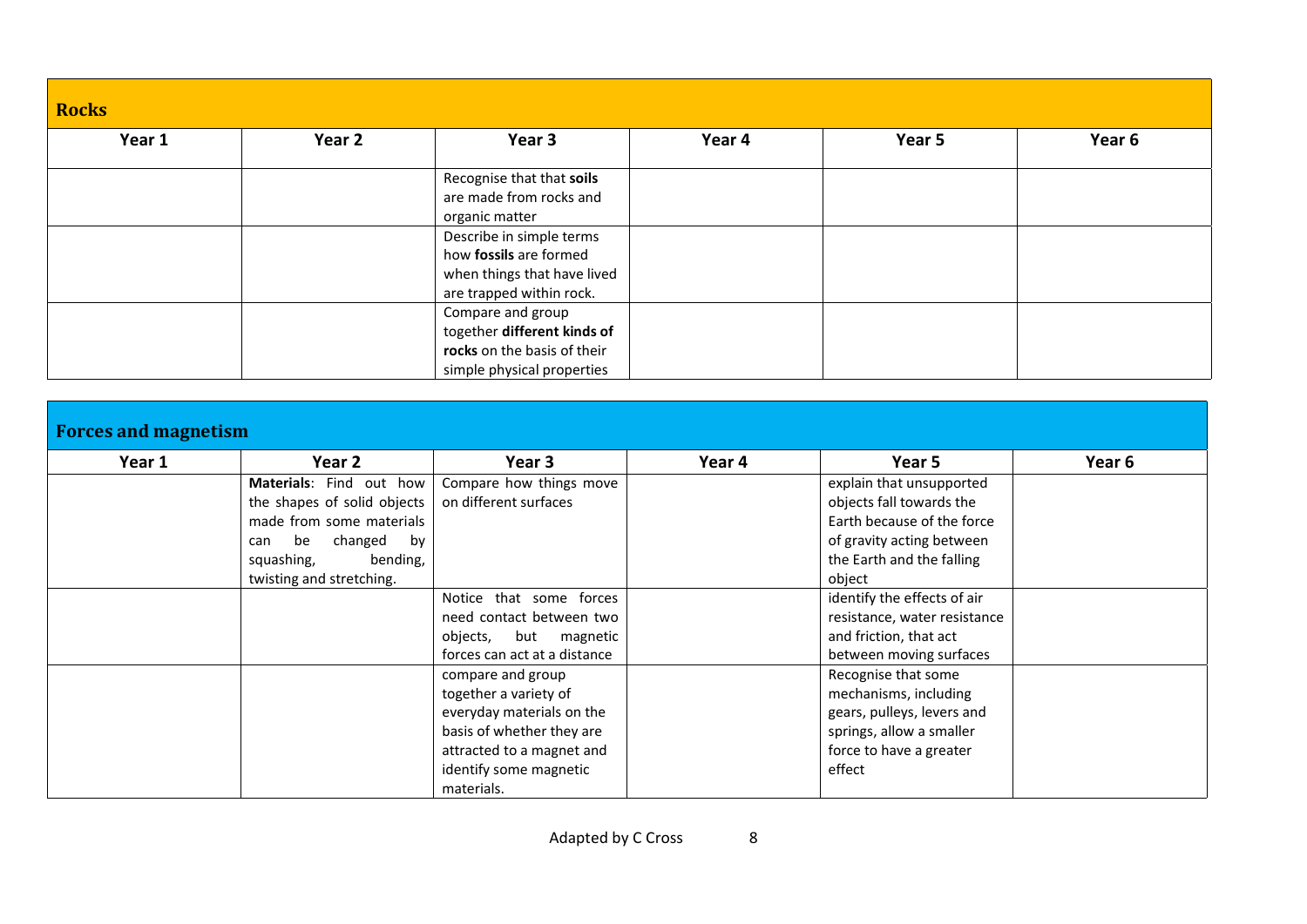| <b>Rocks</b> |        |                                                                                                                                                                                         |        |        |        |  |  |  |
|--------------|--------|-----------------------------------------------------------------------------------------------------------------------------------------------------------------------------------------|--------|--------|--------|--|--|--|
| Year 1       | Year 2 | Year 3                                                                                                                                                                                  | Year 4 | Year 5 | Year 6 |  |  |  |
|              |        | Recognise that that soils<br>are made from rocks and<br>organic matter<br>Describe in simple terms<br>how fossils are formed<br>when things that have lived<br>are trapped within rock. |        |        |        |  |  |  |
|              |        | Compare and group<br>together different kinds of<br>rocks on the basis of their<br>simple physical properties                                                                           |        |        |        |  |  |  |

| <b>Forces and magnetism</b> |
|-----------------------------|
|                             |

| Year 1 | Year 2                      | Year 3                       | Year 4 | Year 5                       | Year 6 |
|--------|-----------------------------|------------------------------|--------|------------------------------|--------|
|        | Materials: Find out how     | Compare how things move      |        | explain that unsupported     |        |
|        | the shapes of solid objects | on different surfaces        |        | objects fall towards the     |        |
|        | made from some materials    |                              |        | Earth because of the force   |        |
|        | be<br>changed<br>bv<br>can  |                              |        | of gravity acting between    |        |
|        | bending,<br>squashing,      |                              |        | the Earth and the falling    |        |
|        | twisting and stretching.    |                              |        | object                       |        |
|        |                             | Notice that some forces      |        | identify the effects of air  |        |
|        |                             | need contact between two     |        | resistance, water resistance |        |
|        |                             | objects,<br>but magnetic     |        | and friction, that act       |        |
|        |                             | forces can act at a distance |        | between moving surfaces      |        |
|        |                             | compare and group            |        | Recognise that some          |        |
|        |                             | together a variety of        |        | mechanisms, including        |        |
|        |                             | everyday materials on the    |        | gears, pulleys, levers and   |        |
|        |                             | basis of whether they are    |        | springs, allow a smaller     |        |
|        |                             | attracted to a magnet and    |        | force to have a greater      |        |
|        |                             | identify some magnetic       |        | effect                       |        |
|        |                             | materials.                   |        |                              |        |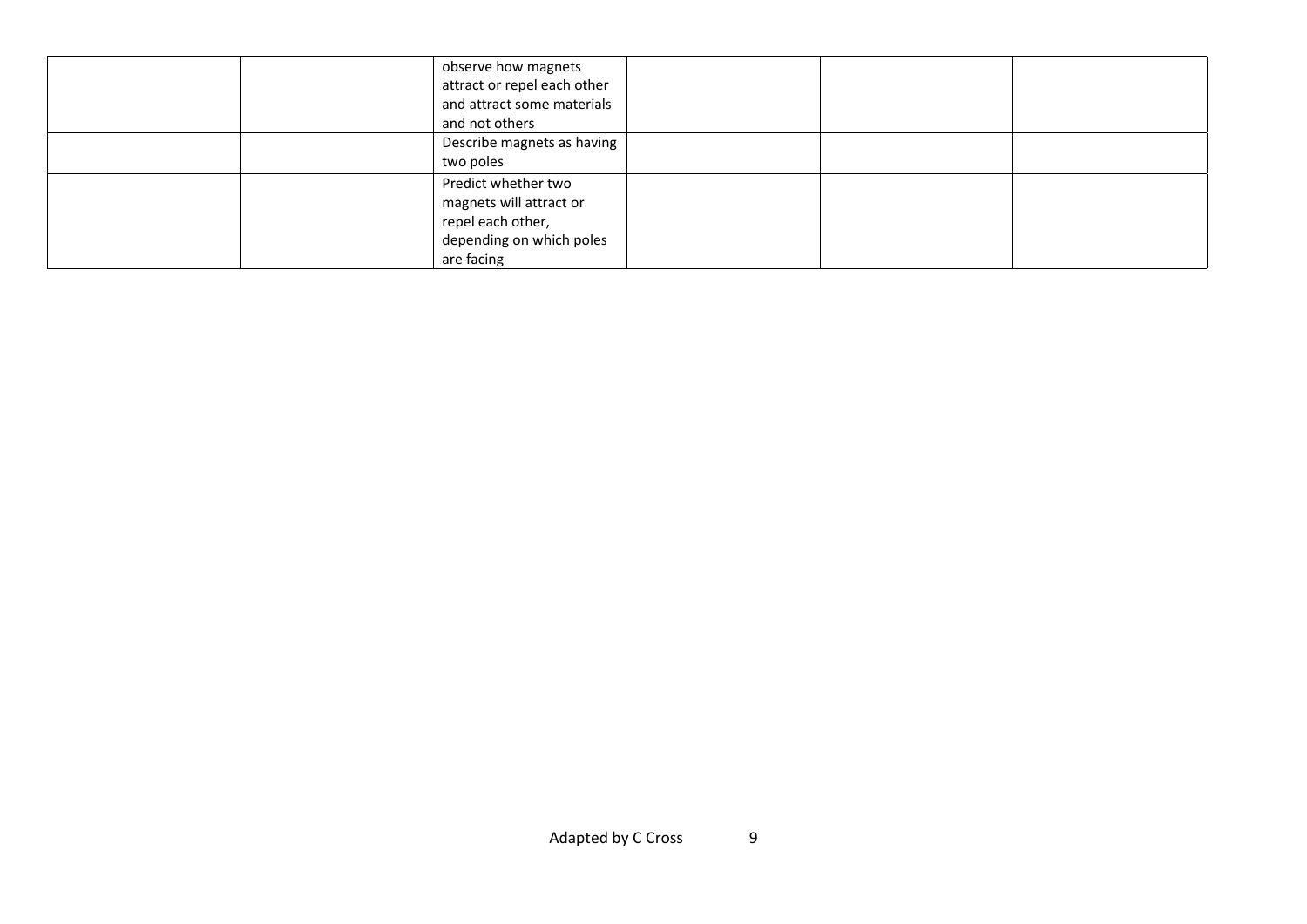|  | observe how magnets<br>attract or repel each other<br>and attract some materials<br>and not others            |  |  |
|--|---------------------------------------------------------------------------------------------------------------|--|--|
|  | Describe magnets as having<br>two poles                                                                       |  |  |
|  | Predict whether two<br>magnets will attract or<br>repel each other,<br>depending on which poles<br>are facing |  |  |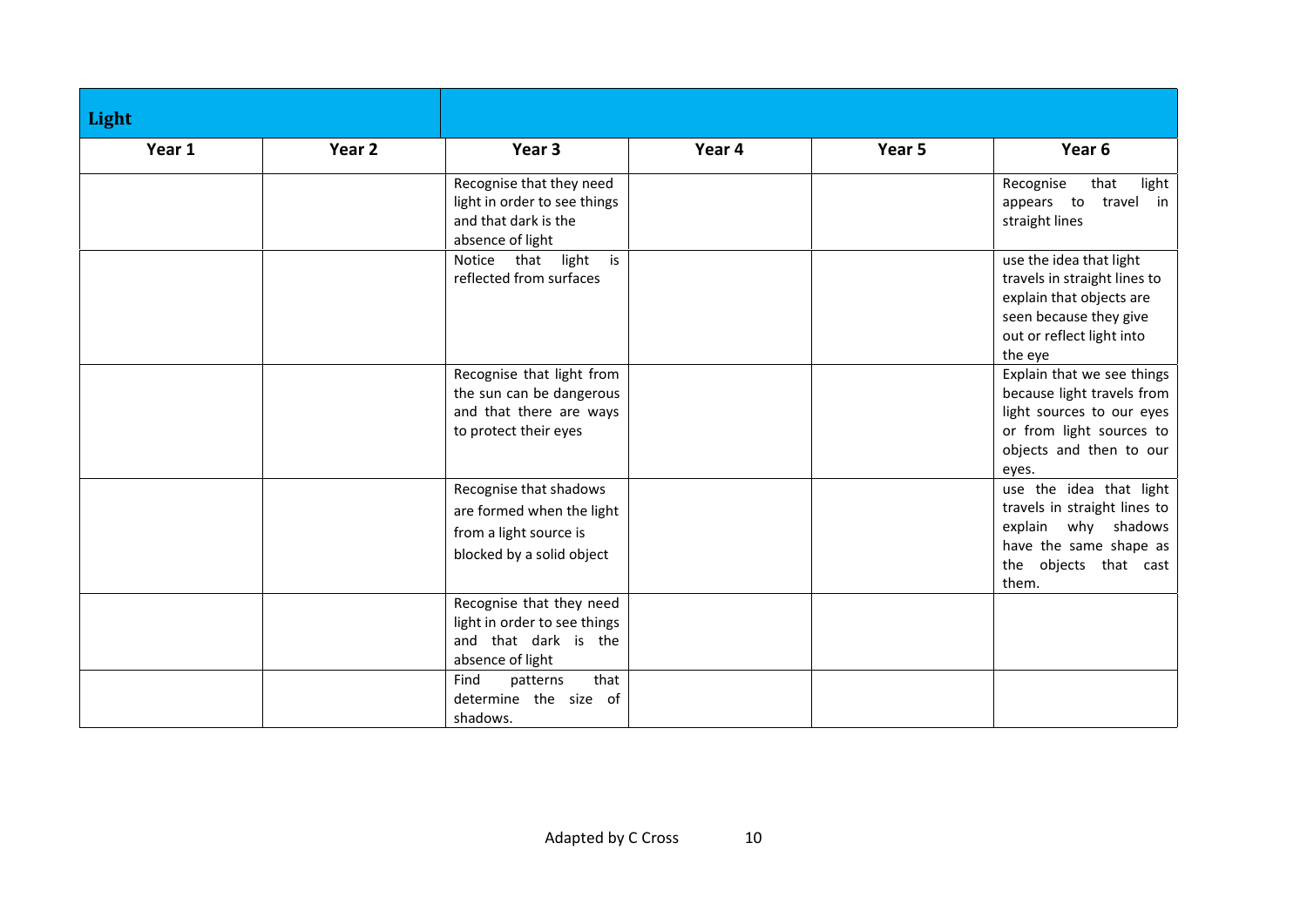| Light  |                   |                                                                                                                                                           |        |        |                                                                                                                                                       |
|--------|-------------------|-----------------------------------------------------------------------------------------------------------------------------------------------------------|--------|--------|-------------------------------------------------------------------------------------------------------------------------------------------------------|
| Year 1 | Year <sub>2</sub> | Year <sub>3</sub>                                                                                                                                         | Year 4 | Year 5 | Year 6                                                                                                                                                |
|        |                   | Recognise that they need<br>light in order to see things<br>and that dark is the<br>absence of light                                                      |        |        | Recognise<br>that<br>light<br>travel in<br>appears to<br>straight lines                                                                               |
|        |                   | that<br>light<br>is<br>Notice<br>reflected from surfaces                                                                                                  |        |        | use the idea that light<br>travels in straight lines to<br>explain that objects are<br>seen because they give<br>out or reflect light into<br>the eye |
|        |                   | Recognise that light from<br>the sun can be dangerous<br>and that there are ways<br>to protect their eyes                                                 |        |        | Explain that we see things<br>because light travels from<br>light sources to our eyes<br>or from light sources to<br>objects and then to our<br>eyes. |
|        |                   | Recognise that shadows<br>are formed when the light<br>from a light source is<br>blocked by a solid object                                                |        |        | use the idea that light<br>travels in straight lines to<br>explain why shadows<br>have the same shape as<br>the objects that cast<br>them.            |
|        |                   | Recognise that they need<br>light in order to see things<br>and that dark is the<br>absence of light<br>Find<br>that<br>patterns<br>determine the size of |        |        |                                                                                                                                                       |
|        |                   | shadows.                                                                                                                                                  |        |        |                                                                                                                                                       |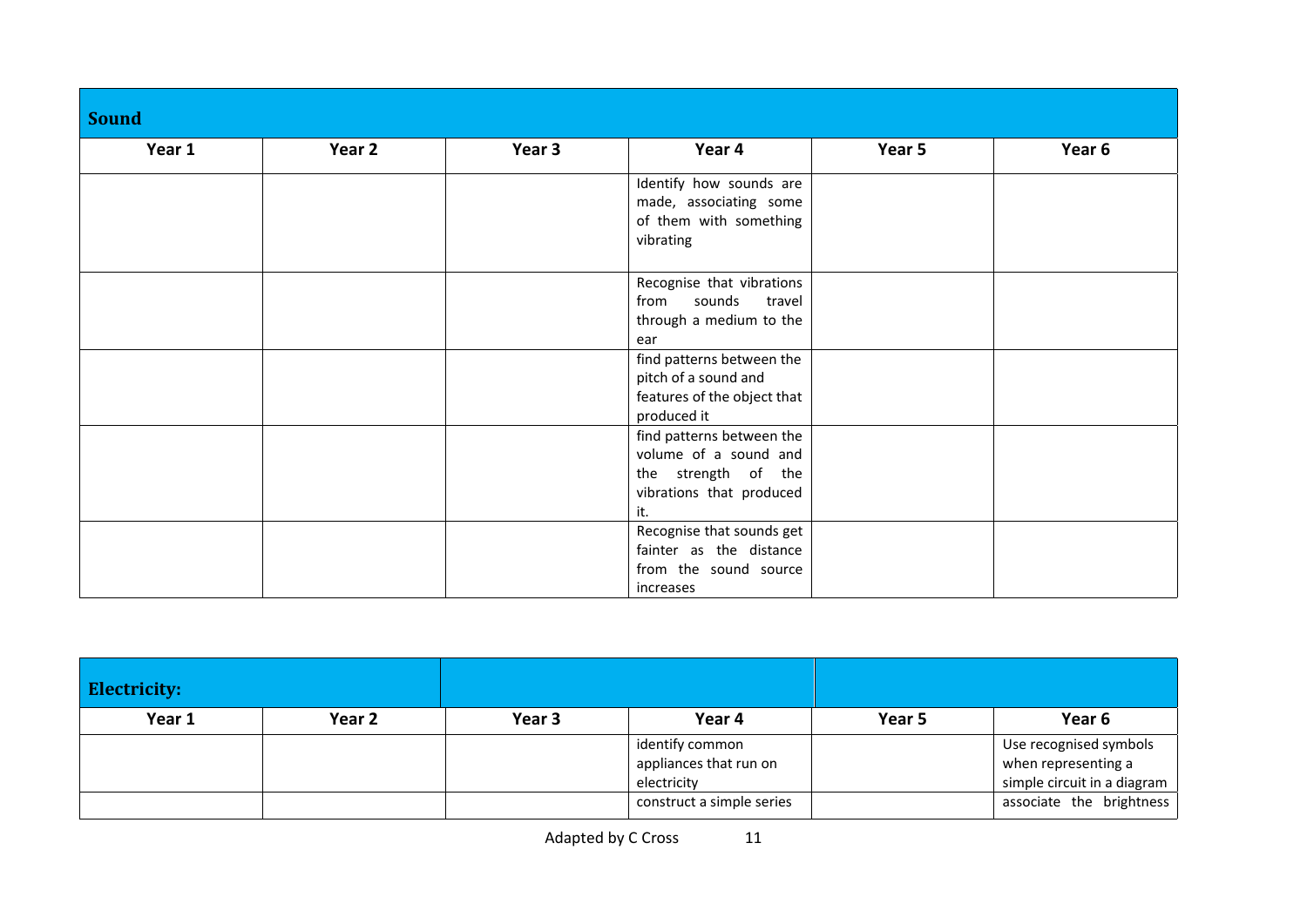| <b>Sound</b> |        |        |                                                                                                              |        |        |
|--------------|--------|--------|--------------------------------------------------------------------------------------------------------------|--------|--------|
| Year 1       | Year 2 | Year 3 | Year 4                                                                                                       | Year 5 | Year 6 |
|              |        |        | Identify how sounds are<br>made, associating some<br>of them with something<br>vibrating                     |        |        |
|              |        |        | Recognise that vibrations<br>from sounds<br>travel<br>through a medium to the<br>ear                         |        |        |
|              |        |        | find patterns between the<br>pitch of a sound and<br>features of the object that<br>produced it              |        |        |
|              |        |        | find patterns between the<br>volume of a sound and<br>the strength of the<br>vibrations that produced<br>it. |        |        |
|              |        |        | Recognise that sounds get<br>fainter as the distance<br>from the sound source<br>increases                   |        |        |

| <b>Electricity:</b> |                   |        |                                                          |        |                                                                              |
|---------------------|-------------------|--------|----------------------------------------------------------|--------|------------------------------------------------------------------------------|
| Year 1              | Year <sub>2</sub> | Year 3 | Year 4                                                   | Year 5 | Year 6                                                                       |
|                     |                   |        | identify common<br>appliances that run on<br>electricity |        | Use recognised symbols<br>when representing a<br>simple circuit in a diagram |
|                     |                   |        | construct a simple series                                |        | associate the brightness                                                     |

Adapted by C Cross 11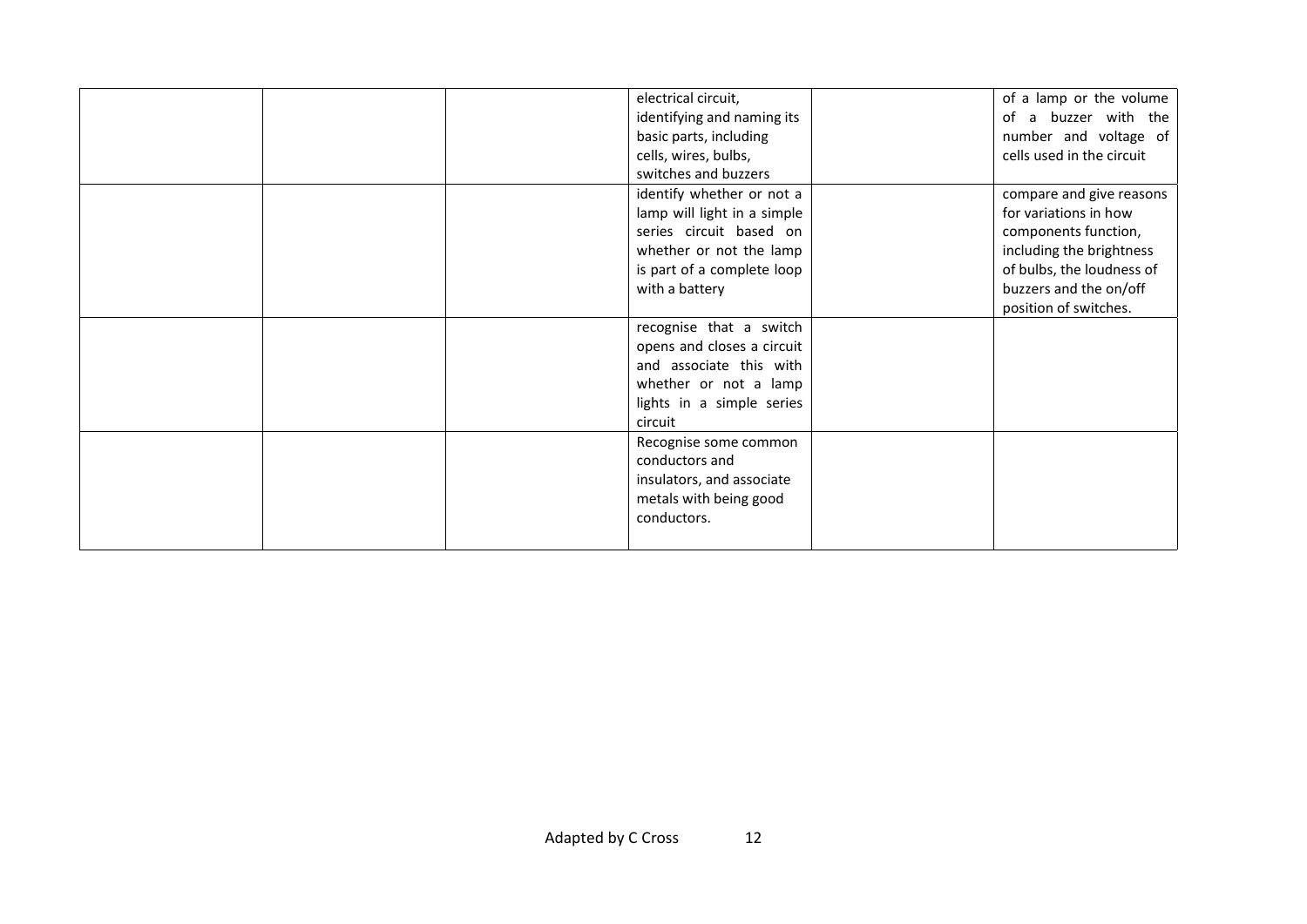|  | electrical circuit,         | of a lamp or the volume   |
|--|-----------------------------|---------------------------|
|  | identifying and naming its  | of a buzzer with the      |
|  | basic parts, including      | number and voltage of     |
|  | cells, wires, bulbs,        | cells used in the circuit |
|  | switches and buzzers        |                           |
|  | identify whether or not a   | compare and give reasons  |
|  | lamp will light in a simple | for variations in how     |
|  | series circuit based on     | components function,      |
|  | whether or not the lamp     | including the brightness  |
|  | is part of a complete loop  | of bulbs, the loudness of |
|  | with a battery              | buzzers and the on/off    |
|  |                             | position of switches.     |
|  | recognise that a switch     |                           |
|  | opens and closes a circuit  |                           |
|  | and associate this with     |                           |
|  | whether or not a lamp       |                           |
|  | lights in a simple series   |                           |
|  | circuit                     |                           |
|  | Recognise some common       |                           |
|  | conductors and              |                           |
|  | insulators, and associate   |                           |
|  | metals with being good      |                           |
|  | conductors.                 |                           |
|  |                             |                           |